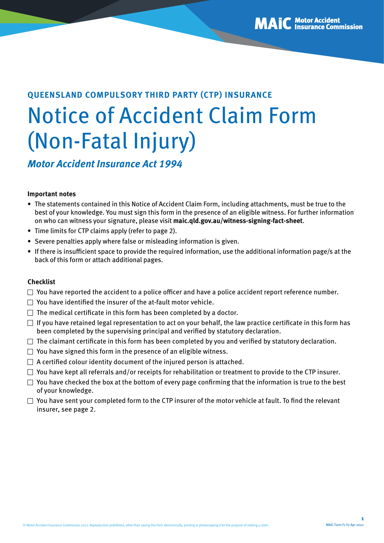# **QUEENSLAND COMPULSORY THIRD PARTY (CTP) INSURANCE** Notice of Accident Claim Form (Non-Fatal Injury)

*Motor Accident Insurance Act 1994*

#### **Important notes**

- The statements contained in this Notice of Accident Claim Form, including attachments, must be true to the best of your knowledge. You must sign this form in the presence of an eligible witness. For further information on who can witness your signature, please visit **[maic.qld.gov.au/witness-signing-fact-sheet](http://maic.qld.gov.au/witness-signing-fact-sheet)**.
- Time limits for CTP claims apply (refer to page 2).
- Severe penalties apply where false or misleading information is given.
- If there is insufficient space to provide the required information, use the additional information page/s at the back of this form or attach additional pages.

#### **Checklist**

- $\Box$  You have reported the accident to a police officer and have a police accident report reference number.
- $\Box$  You have identified the insurer of the at-fault motor vehicle.
- $\Box$  The medical certificate in this form has been completed by a doctor.
- $\Box$  If you have retained legal representation to act on your behalf, the law practice certificate in this form has been completed by the supervising principal and verified by statutory declaration.
- $\Box$  The claimant certificate in this form has been completed by you and verified by statutory declaration.
- $\Box$  You have signed this form in the presence of an eligible witness.
- $\Box$  A certified colour identity document of the injured person is attached.
- $\Box$  You have kept all referrals and/or receipts for rehabilitation or treatment to provide to the CTP insurer.
- $\Box$  You have checked the box at the bottom of every page confirming that the information is true to the best of your knowledge.
- $\Box$  You have sent your completed form to the CTP insurer of the motor vehicle at fault. To find the relevant insurer, see page 2.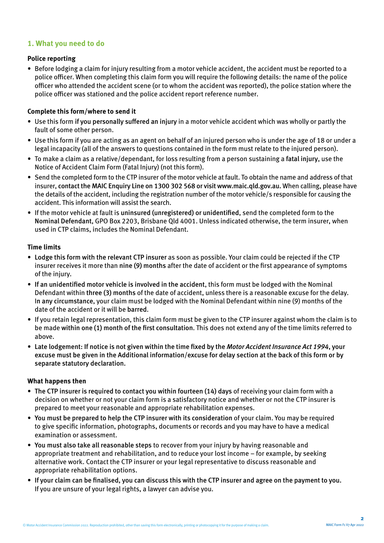### **1. What you need to do**

#### **Police reporting**

• Before lodging a claim for injury resulting from a motor vehicle accident, the accident must be reported to a police officer. When completing this claim form you will require the following details: the name of the police officer who attended the accident scene (or to whom the accident was reported), the police station where the police officer was stationed and the police accident report reference number.

#### **Complete this form/where to send it**

- Use this form if you personally suffered an injury in a motor vehicle accident which was wholly or partly the fault of some other person.
- Use this form if you are acting as an agent on behalf of an injured person who is under the age of 18 or under a legal incapacity (all of the answers to questions contained in the form must relate to the injured person).
- To make a claim as a relative/dependant, for loss resulting from a person sustaining a fatal injury, use the Notice of Accident Claim Form (Fatal Injury) (not this form).
- Send the completed form to the CTP insurer of the motor vehicle at fault. To obtain the name and address of that insurer, contact the MAIC Enquiry Line on 1300 302 568 or visit [www.maic.qld.gov.au](http://www.maic.qld.gov.au). When calling, please have the details of the accident, including the registration number of the motor vehicle/s responsible for causing the accident. This information will assist the search.
- If the motor vehicle at fault is uninsured (unregistered) or unidentified, send the completed form to the Nominal Defendant, GPO Box 2203, Brisbane Qld 4001. Unless indicated otherwise, the term insurer, when used in CTP claims, includes the Nominal Defendant.

#### **Time limits**

- Lodge this form with the relevant CTP insurer as soon as possible. Your claim could be rejected if the CTP insurer receives it more than nine (9) months after the date of accident or the first appearance of symptoms of the injury.
- If an unidentified motor vehicle is involved in the accident, this form must be lodged with the Nominal Defendant within three (3) months of the date of accident, unless there is a reasonable excuse for the delay. In any circumstance, your claim must be lodged with the Nominal Defendant within nine (9) months of the date of the accident or it will be barred.
- If you retain legal representation, this claim form must be given to the CTP insurer against whom the claim is to be made within one (1) month of the first consultation. This does not extend any of the time limits referred to above.
- Late lodgement: If notice is not given within the time fixed by the *Motor Accident Insurance Act 1994*, your excuse must be given in the Additional information/excuse for delay section at the back of this form or by separate statutory declaration.

#### **What happens then**

- The CTP insurer is required to contact you within fourteen (14) days of receiving your claim form with a decision on whether or not your claim form is a satisfactory notice and whether or not the CTP insurer is prepared to meet your reasonable and appropriate rehabilitation expenses.
- You must be prepared to help the CTP insurer with its consideration of your claim. You may be required to give specific information, photographs, documents or records and you may have to have a medical examination or assessment.
- You must also take all reasonable steps to recover from your injury by having reasonable and appropriate treatment and rehabilitation, and to reduce your lost income – for example, by seeking alternative work. Contact the CTP insurer or your legal representative to discuss reasonable and appropriate rehabilitation options.
- If your claim can be finalised, you can discuss this with the CTP insurer and agree on the payment to you. If you are unsure of your legal rights, a lawyer can advise you.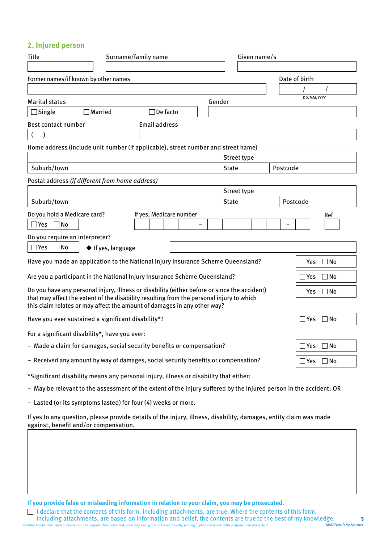# **2. Injured person**

| Title<br>Surname/family name                                                                                                                                         |                                  |                         | Given name/s |              |  |  |          |               |              |
|----------------------------------------------------------------------------------------------------------------------------------------------------------------------|----------------------------------|-------------------------|--------------|--------------|--|--|----------|---------------|--------------|
|                                                                                                                                                                      |                                  |                         |              |              |  |  |          |               |              |
| Former names/if known by other names                                                                                                                                 |                                  |                         |              |              |  |  |          | Date of birth |              |
|                                                                                                                                                                      |                                  |                         |              |              |  |  |          |               |              |
| <b>Marital status</b>                                                                                                                                                |                                  |                         |              | Gender       |  |  |          | DD/MM/YYYY    |              |
| $\Box$ Single                                                                                                                                                        | $\Box$ Married                   | $\Box$ De facto         |              |              |  |  |          |               |              |
| Best contact number                                                                                                                                                  |                                  | <b>Email address</b>    |              |              |  |  |          |               |              |
|                                                                                                                                                                      |                                  |                         |              |              |  |  |          |               |              |
| Home address (include unit number (if applicable), street number and street name)                                                                                    |                                  |                         |              |              |  |  |          |               |              |
|                                                                                                                                                                      |                                  |                         |              | Street type  |  |  |          |               |              |
| Suburb/town                                                                                                                                                          |                                  |                         |              | <b>State</b> |  |  | Postcode |               |              |
| Postal address (if different from home address)                                                                                                                      |                                  |                         |              |              |  |  |          |               |              |
|                                                                                                                                                                      |                                  |                         |              | Street type  |  |  |          |               |              |
| Suburb/town                                                                                                                                                          |                                  |                         |              | <b>State</b> |  |  | Postcode |               |              |
| Do you hold a Medicare card?                                                                                                                                         |                                  | If yes, Medicare number |              |              |  |  |          |               | Ref          |
| $\Box$ No<br>$\exists$ Yes                                                                                                                                           |                                  |                         |              |              |  |  |          |               |              |
| Do you require an interpreter?                                                                                                                                       |                                  |                         |              |              |  |  |          |               |              |
| $\square$ Yes<br>$\Box$ No                                                                                                                                           | $\blacklozenge$ If yes, language |                         |              |              |  |  |          |               |              |
| Have you made an application to the National Injury Insurance Scheme Queensland?                                                                                     |                                  |                         |              |              |  |  |          | $\exists$ Yes | $\Box$ No    |
| Are you a participant in the National Injury Insurance Scheme Queensland?                                                                                            |                                  |                         |              |              |  |  |          | $\Box$ Yes    | $\Box$ No    |
| Do you have any personal injury, illness or disability (either before or since the accident)                                                                         |                                  |                         |              |              |  |  |          | $\Box$ Yes    | $\Box$ No    |
| that may affect the extent of the disability resulting from the personal injury to which<br>this claim relates or may affect the amount of damages in any other way? |                                  |                         |              |              |  |  |          |               |              |
| Have you ever sustained a significant disability*?                                                                                                                   |                                  |                         |              |              |  |  |          | $\Box$ Yes    | $\Box$ No    |
| For a significant disability*, have you ever:                                                                                                                        |                                  |                         |              |              |  |  |          |               |              |
| - Made a claim for damages, social security benefits or compensation?                                                                                                |                                  |                         |              |              |  |  |          | $\exists$ Yes | $\Box$ No    |
| - Received any amount by way of damages, social security benefits or compensation?                                                                                   |                                  |                         |              |              |  |  |          | $\Box$ Yes    | $\square$ No |
| *Significant disability means any personal injury, illness or disability that either:                                                                                |                                  |                         |              |              |  |  |          |               |              |
| - May be relevant to the assessment of the extent of the injury suffered by the injured person in the accident; OR                                                   |                                  |                         |              |              |  |  |          |               |              |
| - Lasted (or its symptoms lasted) for four (4) weeks or more.                                                                                                        |                                  |                         |              |              |  |  |          |               |              |
| If yes to any question, please provide details of the injury, illness, disability, damages, entity claim was made<br>against, benefit and/or compensation.           |                                  |                         |              |              |  |  |          |               |              |
|                                                                                                                                                                      |                                  |                         |              |              |  |  |          |               |              |
|                                                                                                                                                                      |                                  |                         |              |              |  |  |          |               |              |
|                                                                                                                                                                      |                                  |                         |              |              |  |  |          |               |              |
|                                                                                                                                                                      |                                  |                         |              |              |  |  |          |               |              |
|                                                                                                                                                                      |                                  |                         |              |              |  |  |          |               |              |

**If you provide false or misleading information in relation to your claim, you may be prosecuted.** 

© Motor Accident Insurance Commission 2022. Reproduction prohibited, other than saving this form electronically, printing or photocopying it for the purpose of making a claim. I declare that the contents of this form, including attachments, are true. Where the contents of this form, including attachments, are based on information and belief, the contents are true to the best of my knowledge. **3** MAIC Form F1 V7 Apr 2022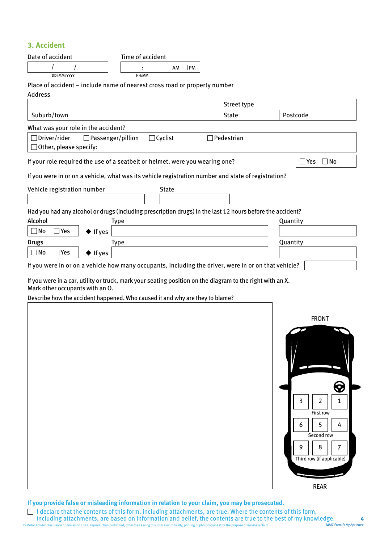# **3. Accident**

| Date of accident                                                                                          | Time of accident                           |                   |                           |
|-----------------------------------------------------------------------------------------------------------|--------------------------------------------|-------------------|---------------------------|
|                                                                                                           | $AM \Box PM$                               |                   |                           |
| DD/MM/YYYY                                                                                                | HH:MM                                      |                   |                           |
| Place of accident - include name of nearest cross road or property number                                 |                                            |                   |                           |
| <b>Address</b>                                                                                            |                                            |                   |                           |
|                                                                                                           |                                            | Street type       |                           |
| Suburb/town                                                                                               |                                            | <b>State</b>      | Postcode                  |
| What was your role in the accident?                                                                       |                                            |                   |                           |
| $\Box$ Driver/rider                                                                                       | $\Box$ Passenger/pillion<br>$\Box$ Cyclist | $\Box$ Pedestrian |                           |
| $\Box$ Other, please specify:                                                                             |                                            |                   |                           |
| If your role required the use of a seatbelt or helmet, were you wearing one?                              |                                            |                   | $\Box$ No<br>Yes          |
| If you were in or on a vehicle, what was its vehicle registration number and state of registration?       |                                            |                   |                           |
|                                                                                                           |                                            |                   |                           |
| Vehicle registration number                                                                               | <b>State</b>                               |                   |                           |
|                                                                                                           |                                            |                   |                           |
| Had you had any alcohol or drugs (including prescription drugs) in the last 12 hours before the accident? |                                            |                   |                           |
| Alcohol                                                                                                   | <b>Type</b>                                |                   | Quantity                  |
| $\Box$ No<br>$\square$ Yes<br>$\blacklozenge$ If yes                                                      |                                            |                   |                           |
| <b>Drugs</b>                                                                                              | Type                                       |                   | Quantity                  |
| $\Box$ No<br>$\Box$ Yes<br>$\blacklozenge$ If yes                                                         |                                            |                   |                           |
| If you were in or on a vehicle how many occupants, including the driver, were in or on that vehicle?      |                                            |                   |                           |
| If you were in a car, utility or truck, mark your seating position on the diagram to the right with an X. |                                            |                   |                           |
| Mark other occupants with an O.                                                                           |                                            |                   |                           |
| Describe how the accident happened. Who caused it and why are they to blame?                              |                                            |                   |                           |
|                                                                                                           |                                            |                   |                           |
|                                                                                                           |                                            |                   | <b>FRONT</b>              |
|                                                                                                           |                                            |                   |                           |
|                                                                                                           |                                            |                   |                           |
|                                                                                                           |                                            |                   |                           |
|                                                                                                           |                                            |                   |                           |
|                                                                                                           |                                            |                   |                           |
|                                                                                                           |                                            |                   |                           |
|                                                                                                           |                                            |                   | 3<br>2<br>1               |
|                                                                                                           |                                            |                   |                           |
|                                                                                                           |                                            |                   | <b>First row</b>          |
|                                                                                                           |                                            |                   | 5<br>6<br>4               |
|                                                                                                           |                                            |                   | Second row                |
|                                                                                                           |                                            |                   | 9<br>8                    |
|                                                                                                           |                                            |                   | Third row (if applicable) |
|                                                                                                           |                                            |                   |                           |
|                                                                                                           |                                            |                   | <b>REAR</b>               |
|                                                                                                           |                                            |                   |                           |

**If you provide false or misleading information in relation to your claim, you may be prosecuted.** 

© Motor Accident Insurance Commission 2022. Reproduction prohibited, other than saving this form electronically, printing or photocopying it for the purpose of making a claim. I declare that the contents of this form, including attachments, are true. Where the contents of this form, including attachments, are based on information and belief, the contents are true to the best of my knowledge. **4** MAIC Form F1 V7 Apr 2022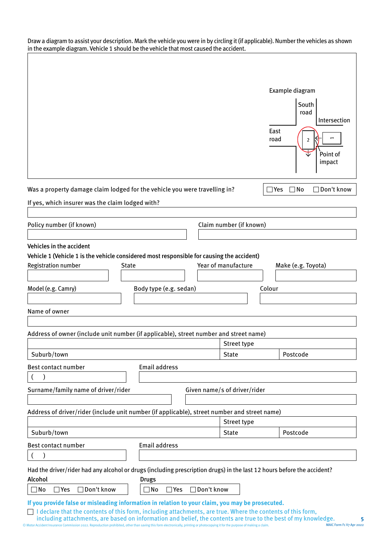Draw a diagram to assist your description. Mark the vehicle you were in by circling it (if applicable). Number the vehicles as shown in the example diagram. Vehicle 1 should be the vehicle that most caused the accident.

 $\overline{\phantom{a}}$ 

| Was a property damage claim lodged for the vehicle you were travelling in?<br>$\Box$ No<br>$\Box$ Yes<br>If yes, which insurer was the claim lodged with?<br>Policy number (if known)<br>Claim number (if known)<br>Vehicles in the accident<br>Vehicle 1 (Vehicle 1 is the vehicle considered most responsible for causing the accident)<br>Year of manufacture<br>Make (e.g. Toyota)<br>Registration number<br><b>State</b><br>Model (e.g. Camry)<br>Body type (e.g. sedan)<br>Colour<br>Name of owner<br>Address of owner (include unit number (if applicable), street number and street name)<br>Street type<br>Suburb/town<br>Postcode<br><b>State</b><br><b>Email address</b><br>Best contact number<br>Surname/family name of driver/rider<br>Given name/s of driver/rider<br>Address of driver/rider (include unit number (if applicable), street number and street name)<br>Street type<br>Suburb/town<br>Postcode<br><b>State</b><br><b>Email address</b><br>Best contact number<br>Had the driver/rider had any alcohol or drugs (including prescription drugs) in the last 12 hours before the accident?<br>Alcohol<br><b>Drugs</b><br>$\Box$ Don't know<br>$\Box$ Don't know<br>$\exists$ Yes<br>∃No<br>$\square$ Yes<br>No<br>If you provide false or misleading information in relation to your claim, you may be prosecuted.<br>I declare that the contents of this form, including attachments, are true. Where the contents of this form, |  |  | Example diagram<br>South<br>road<br>Intersection<br>East<br>1<br>road<br>2<br>Point of<br>impact |
|-------------------------------------------------------------------------------------------------------------------------------------------------------------------------------------------------------------------------------------------------------------------------------------------------------------------------------------------------------------------------------------------------------------------------------------------------------------------------------------------------------------------------------------------------------------------------------------------------------------------------------------------------------------------------------------------------------------------------------------------------------------------------------------------------------------------------------------------------------------------------------------------------------------------------------------------------------------------------------------------------------------------------------------------------------------------------------------------------------------------------------------------------------------------------------------------------------------------------------------------------------------------------------------------------------------------------------------------------------------------------------------------------------------------------------------------------------------|--|--|--------------------------------------------------------------------------------------------------|
|                                                                                                                                                                                                                                                                                                                                                                                                                                                                                                                                                                                                                                                                                                                                                                                                                                                                                                                                                                                                                                                                                                                                                                                                                                                                                                                                                                                                                                                             |  |  | $\Box$ Don't know                                                                                |
|                                                                                                                                                                                                                                                                                                                                                                                                                                                                                                                                                                                                                                                                                                                                                                                                                                                                                                                                                                                                                                                                                                                                                                                                                                                                                                                                                                                                                                                             |  |  |                                                                                                  |
|                                                                                                                                                                                                                                                                                                                                                                                                                                                                                                                                                                                                                                                                                                                                                                                                                                                                                                                                                                                                                                                                                                                                                                                                                                                                                                                                                                                                                                                             |  |  |                                                                                                  |
|                                                                                                                                                                                                                                                                                                                                                                                                                                                                                                                                                                                                                                                                                                                                                                                                                                                                                                                                                                                                                                                                                                                                                                                                                                                                                                                                                                                                                                                             |  |  |                                                                                                  |
|                                                                                                                                                                                                                                                                                                                                                                                                                                                                                                                                                                                                                                                                                                                                                                                                                                                                                                                                                                                                                                                                                                                                                                                                                                                                                                                                                                                                                                                             |  |  |                                                                                                  |
|                                                                                                                                                                                                                                                                                                                                                                                                                                                                                                                                                                                                                                                                                                                                                                                                                                                                                                                                                                                                                                                                                                                                                                                                                                                                                                                                                                                                                                                             |  |  |                                                                                                  |
|                                                                                                                                                                                                                                                                                                                                                                                                                                                                                                                                                                                                                                                                                                                                                                                                                                                                                                                                                                                                                                                                                                                                                                                                                                                                                                                                                                                                                                                             |  |  |                                                                                                  |
|                                                                                                                                                                                                                                                                                                                                                                                                                                                                                                                                                                                                                                                                                                                                                                                                                                                                                                                                                                                                                                                                                                                                                                                                                                                                                                                                                                                                                                                             |  |  |                                                                                                  |
|                                                                                                                                                                                                                                                                                                                                                                                                                                                                                                                                                                                                                                                                                                                                                                                                                                                                                                                                                                                                                                                                                                                                                                                                                                                                                                                                                                                                                                                             |  |  |                                                                                                  |
|                                                                                                                                                                                                                                                                                                                                                                                                                                                                                                                                                                                                                                                                                                                                                                                                                                                                                                                                                                                                                                                                                                                                                                                                                                                                                                                                                                                                                                                             |  |  |                                                                                                  |
|                                                                                                                                                                                                                                                                                                                                                                                                                                                                                                                                                                                                                                                                                                                                                                                                                                                                                                                                                                                                                                                                                                                                                                                                                                                                                                                                                                                                                                                             |  |  |                                                                                                  |
|                                                                                                                                                                                                                                                                                                                                                                                                                                                                                                                                                                                                                                                                                                                                                                                                                                                                                                                                                                                                                                                                                                                                                                                                                                                                                                                                                                                                                                                             |  |  |                                                                                                  |
|                                                                                                                                                                                                                                                                                                                                                                                                                                                                                                                                                                                                                                                                                                                                                                                                                                                                                                                                                                                                                                                                                                                                                                                                                                                                                                                                                                                                                                                             |  |  |                                                                                                  |
|                                                                                                                                                                                                                                                                                                                                                                                                                                                                                                                                                                                                                                                                                                                                                                                                                                                                                                                                                                                                                                                                                                                                                                                                                                                                                                                                                                                                                                                             |  |  |                                                                                                  |
|                                                                                                                                                                                                                                                                                                                                                                                                                                                                                                                                                                                                                                                                                                                                                                                                                                                                                                                                                                                                                                                                                                                                                                                                                                                                                                                                                                                                                                                             |  |  |                                                                                                  |
|                                                                                                                                                                                                                                                                                                                                                                                                                                                                                                                                                                                                                                                                                                                                                                                                                                                                                                                                                                                                                                                                                                                                                                                                                                                                                                                                                                                                                                                             |  |  |                                                                                                  |
|                                                                                                                                                                                                                                                                                                                                                                                                                                                                                                                                                                                                                                                                                                                                                                                                                                                                                                                                                                                                                                                                                                                                                                                                                                                                                                                                                                                                                                                             |  |  |                                                                                                  |
|                                                                                                                                                                                                                                                                                                                                                                                                                                                                                                                                                                                                                                                                                                                                                                                                                                                                                                                                                                                                                                                                                                                                                                                                                                                                                                                                                                                                                                                             |  |  |                                                                                                  |
|                                                                                                                                                                                                                                                                                                                                                                                                                                                                                                                                                                                                                                                                                                                                                                                                                                                                                                                                                                                                                                                                                                                                                                                                                                                                                                                                                                                                                                                             |  |  |                                                                                                  |
|                                                                                                                                                                                                                                                                                                                                                                                                                                                                                                                                                                                                                                                                                                                                                                                                                                                                                                                                                                                                                                                                                                                                                                                                                                                                                                                                                                                                                                                             |  |  |                                                                                                  |
|                                                                                                                                                                                                                                                                                                                                                                                                                                                                                                                                                                                                                                                                                                                                                                                                                                                                                                                                                                                                                                                                                                                                                                                                                                                                                                                                                                                                                                                             |  |  |                                                                                                  |
|                                                                                                                                                                                                                                                                                                                                                                                                                                                                                                                                                                                                                                                                                                                                                                                                                                                                                                                                                                                                                                                                                                                                                                                                                                                                                                                                                                                                                                                             |  |  |                                                                                                  |
|                                                                                                                                                                                                                                                                                                                                                                                                                                                                                                                                                                                                                                                                                                                                                                                                                                                                                                                                                                                                                                                                                                                                                                                                                                                                                                                                                                                                                                                             |  |  |                                                                                                  |
|                                                                                                                                                                                                                                                                                                                                                                                                                                                                                                                                                                                                                                                                                                                                                                                                                                                                                                                                                                                                                                                                                                                                                                                                                                                                                                                                                                                                                                                             |  |  |                                                                                                  |
|                                                                                                                                                                                                                                                                                                                                                                                                                                                                                                                                                                                                                                                                                                                                                                                                                                                                                                                                                                                                                                                                                                                                                                                                                                                                                                                                                                                                                                                             |  |  |                                                                                                  |
|                                                                                                                                                                                                                                                                                                                                                                                                                                                                                                                                                                                                                                                                                                                                                                                                                                                                                                                                                                                                                                                                                                                                                                                                                                                                                                                                                                                                                                                             |  |  |                                                                                                  |
|                                                                                                                                                                                                                                                                                                                                                                                                                                                                                                                                                                                                                                                                                                                                                                                                                                                                                                                                                                                                                                                                                                                                                                                                                                                                                                                                                                                                                                                             |  |  |                                                                                                  |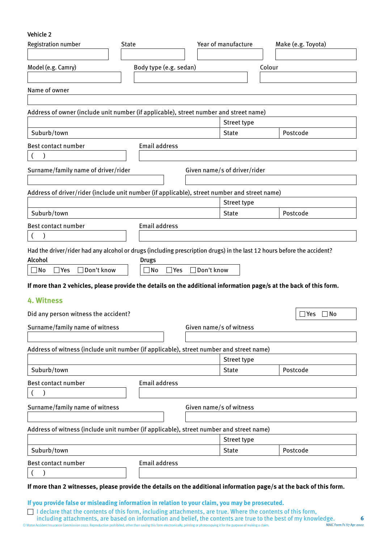Vehicle 2

| <b>Registration number</b>                                                                                                                                                              | <b>State</b>                      | Year of manufacture     |                              | Make (e.g. Toyota)   |
|-----------------------------------------------------------------------------------------------------------------------------------------------------------------------------------------|-----------------------------------|-------------------------|------------------------------|----------------------|
| Model (e.g. Camry)                                                                                                                                                                      |                                   | Body type (e.g. sedan)  |                              | Colour               |
| Name of owner                                                                                                                                                                           |                                   |                         |                              |                      |
| Address of owner (include unit number (if applicable), street number and street name)                                                                                                   |                                   |                         |                              |                      |
| Suburb/town                                                                                                                                                                             |                                   |                         | Street type<br><b>State</b>  | Postcode             |
| Best contact number                                                                                                                                                                     | <b>Email address</b>              |                         |                              |                      |
| $\overline{ }$<br>$\mathcal{E}$                                                                                                                                                         |                                   |                         |                              |                      |
| Surname/family name of driver/rider                                                                                                                                                     |                                   |                         | Given name/s of driver/rider |                      |
| Address of driver/rider (include unit number (if applicable), street number and street name)                                                                                            |                                   |                         |                              |                      |
|                                                                                                                                                                                         |                                   |                         | Street type                  |                      |
| Suburb/town                                                                                                                                                                             |                                   |                         | <b>State</b>                 | Postcode             |
| Best contact number<br>$\left($                                                                                                                                                         | <b>Email address</b>              |                         |                              |                      |
| Had the driver/rider had any alcohol or drugs (including prescription drugs) in the last 12 hours before the accident?<br>Alcohol<br>Don't know<br>$\square$ No<br>$\Box$ Yes<br>$\Box$ | <b>Drugs</b><br>$\Box$ No<br> Yes | Don't know<br>$\perp$   |                              |                      |
| If more than 2 vehicles, please provide the details on the additional information page/s at the back of this form.                                                                      |                                   |                         |                              |                      |
| 4. Witness<br>Did any person witness the accident?                                                                                                                                      |                                   |                         |                              | $\square$ No<br>⊿Yes |
| Surname/family name of witness                                                                                                                                                          |                                   | Given name/s of witness |                              |                      |
|                                                                                                                                                                                         |                                   |                         |                              |                      |
| Address of witness (include unit number (if applicable), street number and street name)                                                                                                 |                                   |                         |                              |                      |
|                                                                                                                                                                                         |                                   |                         | Street type                  |                      |
| Suburb/town                                                                                                                                                                             |                                   |                         | <b>State</b>                 | Postcode             |
| Best contact number                                                                                                                                                                     | <b>Email address</b>              |                         |                              |                      |
| $\overline{(}$                                                                                                                                                                          |                                   |                         |                              |                      |
| Surname/family name of witness                                                                                                                                                          |                                   | Given name/s of witness |                              |                      |
| Address of witness (include unit number (if applicable), street number and street name)                                                                                                 |                                   |                         |                              |                      |
|                                                                                                                                                                                         |                                   |                         | Street type                  |                      |
| Suburb/town                                                                                                                                                                             |                                   |                         | <b>State</b>                 | Postcode             |
| Best contact number<br>$\overline{ }$                                                                                                                                                   | <b>Email address</b>              |                         |                              |                      |
| If more than 2 witnesses, please provide the details on the additional information page/s at the back of this form.                                                                     |                                   |                         |                              |                      |
| If you provide false or misleading information in relation to your claim, you may be prosecuted.                                                                                        |                                   |                         |                              |                      |

© Motor Accident Insurance Commission 2022. Reproduction prohibited, other than saving this form electronically, printing or photocopying it for the purpose of making a claim. I declare that the contents of this form, including attachments, are true. Where the contents of this form, including attachments, are based on information and belief, the contents are true to the best of my knowledge. **6** MAIC Form F1 V7 Apr 2022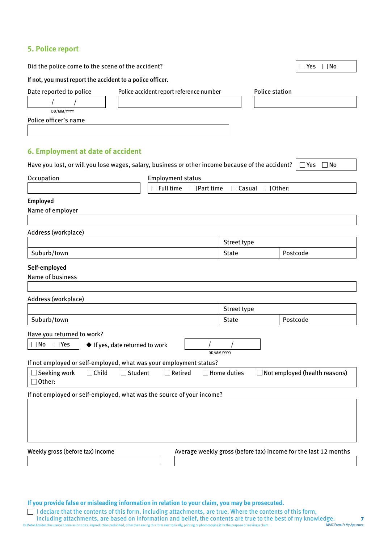# **5. Police report**

| Did the police come to the scene of the accident?                                                |                                   | $\Box$ No<br>]Yes                                               |
|--------------------------------------------------------------------------------------------------|-----------------------------------|-----------------------------------------------------------------|
| If not, you must report the accident to a police officer.                                        |                                   |                                                                 |
| Date reported to police<br>Police accident report reference number                               | <b>Police station</b>             |                                                                 |
|                                                                                                  |                                   |                                                                 |
| DD/MM/YYYY                                                                                       |                                   |                                                                 |
| Police officer's name                                                                            |                                   |                                                                 |
|                                                                                                  |                                   |                                                                 |
| 6. Employment at date of accident                                                                |                                   |                                                                 |
| Have you lost, or will you lose wages, salary, business or other income because of the accident? |                                   | $\Box$ No<br>$\exists$ Yes                                      |
| Occupation<br><b>Employment status</b>                                                           |                                   |                                                                 |
| <b>Full time</b><br>$\Box$ Part time                                                             | $\Box$ Casual<br>$\exists$ Other: |                                                                 |
| Employed                                                                                         |                                   |                                                                 |
| Name of employer                                                                                 |                                   |                                                                 |
|                                                                                                  |                                   |                                                                 |
| Address (workplace)                                                                              |                                   |                                                                 |
| Suburb/town                                                                                      | Street type<br><b>State</b>       | Postcode                                                        |
|                                                                                                  |                                   |                                                                 |
| Self-employed                                                                                    |                                   |                                                                 |
| Name of business                                                                                 |                                   |                                                                 |
| Address (workplace)                                                                              |                                   |                                                                 |
|                                                                                                  | Street type                       |                                                                 |
| Suburb/town                                                                                      | <b>State</b>                      | Postcode                                                        |
| Have you returned to work?                                                                       |                                   |                                                                 |
| $\square$ No<br>$\Box$ Yes<br>◆ If yes, date returned to work                                    |                                   |                                                                 |
|                                                                                                  | DD/MM/YYYY                        |                                                                 |
| If not employed or self-employed, what was your employment status?                               |                                   |                                                                 |
| $\Box$ Seeking work<br>$\Box$ Child<br>$\Box$ Student<br>$\Box$ Retired<br>$\Box$ Other:         | Home duties                       | $\Box$ Not employed (health reasons)                            |
| If not employed or self-employed, what was the source of your income?                            |                                   |                                                                 |
|                                                                                                  |                                   |                                                                 |
|                                                                                                  |                                   |                                                                 |
|                                                                                                  |                                   |                                                                 |
|                                                                                                  |                                   |                                                                 |
| Weekly gross (before tax) income                                                                 |                                   | Average weekly gross (before tax) income for the last 12 months |
|                                                                                                  |                                   |                                                                 |

**If you provide false or misleading information in relation to your claim, you may be prosecuted.** 

© Motor Accident Insurance Commission 2022. Reproduction prohibited, other than saving this form electronically, printing or photocopying it for the purpose of making a claim. I declare that the contents of this form, including attachments, are true. Where the contents of this form, including attachments, are based on information and belief, the contents are true to the best of my knowledge. **7** MAIC Form F1 V7 Apr 2022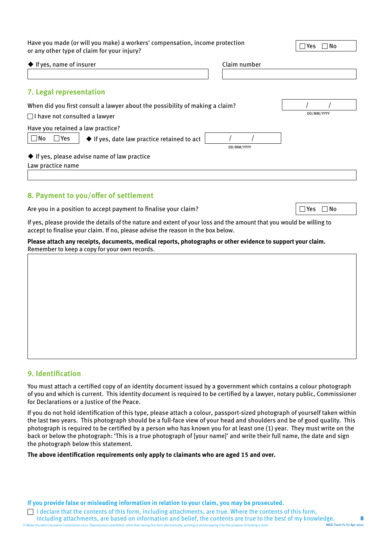Have you made (or will you make) a workers' compensation, income protection Have you made (or will you make) a workers' compensation, income protection<br>or any other type of claim for your injury?

| $\blacklozenge$ If yes, name of insurer                                                                                      | Claim number |            |
|------------------------------------------------------------------------------------------------------------------------------|--------------|------------|
|                                                                                                                              |              |            |
| 7. Legal representation                                                                                                      |              |            |
| When did you first consult a lawyer about the possibility of making a claim?<br>$\Box$ I have not consulted a lawyer         |              | DD/MM/YYYY |
| Have you retained a law practice?<br>$\Box$ No<br>Yes<br>$\Box$<br>$\blacklozenge$ If yes, date law practice retained to act | DD/MM/YYYY   |            |
| $\blacklozenge$ If yes, please advise name of law practice<br>Law practice name                                              |              |            |
|                                                                                                                              |              |            |

### **8. Payment to you/offer of settlement**

Are you in a position to accept payment to finalise your claim?  $\Box$  Yes  $\Box$  Yes  $\Box$  No

If yes, please provide the details of the nature and extent of your loss and the amount that you would be willing to accept to finalise your claim. If no, please advise the reason in the box below.

**Please attach any receipts, documents, medical reports, photographs or other evidence to support your claim.**  Remember to keep a copy for your own records.

### **9. Identification**

You must attach a certified copy of an identity document issued by a government which contains a colour photograph of you and which is current. This identity document is required to be certified by a lawyer, notary public, Commissioner for Declarations or a Justice of the Peace.

If you do not hold identification of this type, please attach a colour, passport-sized photograph of yourself taken within the last two years. This photograph should be a full-face view of your head and shoulders and be of good quality. This photograph is required to be certified by a person who has known you for at least one (1) year. They must write on the back or below the photograph: 'This is a true photograph of [your name]' and write their full name, the date and sign the photograph below this statement.

**The above identification requirements only apply to claimants who are aged 15 and over.**

**If you provide false or misleading information in relation to your claim, you may be prosecuted.** 

© Motor Accident Insurance Commission 2022. Reproduction prohibited, other than saving this form electronically, printing or photocopying it for the purpose of making a claim.  $\Box$  I declare that the contents of this form, including attachments, are true. Where the contents of this form, including attachments, are based on information and belief, the contents are true to the best of my knowledge. **8** MAIC Form F1 V7 Apr 2022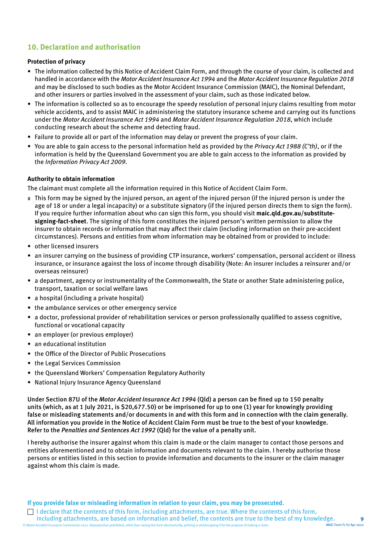# **10. Declaration and authorisation**

#### **Protection of privacy**

- The information collected by this Notice of Accident Claim Form, and through the course of your claim, is collected and handled in accordance with the *Motor Accident Insurance Act 1994* and the *Motor Accident Insurance Regulation 2018*  and may be disclosed to such bodies as the Motor Accident Insurance Commission (MAIC), the Nominal Defendant, and other insurers or parties involved in the assessment of your claim, such as those indicated below.
- The information is collected so as to encourage the speedy resolution of personal injury claims resulting from motor vehicle accidents, and to assist MAIC in administering the statutory insurance scheme and carrying out its functions under the *Motor Accident Insurance Act 1994* and *Motor Accident Insurance Regulation 2018*, which include conducting research about the scheme and detecting fraud.
- Failure to provide all or part of the information may delay or prevent the progress of your claim.
- You are able to gain access to the personal information held as provided by the *Privacy Act 1988 (C'th)*, or if the information is held by the Queensland Government you are able to gain access to the information as provided by the *Information Privacy Act 2009*.

#### **Authority to obtain information**

The claimant must complete all the information required in this Notice of Accident Claim Form.

- ± This form may be signed by the injured person, an agent of the injured person (if the injured person is under the age of 18 or under a legal incapacity) or a substitute signatory (if the injured person directs them to sign the form). If you require further information about who can sign this form, you should visit **[maic.qld.gov.au/substitute](http://maic.qld.gov.au/substitute-signing-fact-sheet)[signing-fact-sheet](http://maic.qld.gov.au/substitute-signing-fact-sheet)**. The signing of this form constitutes the injured person's written permission to allow the insurer to obtain records or information that may affect their claim (including information on their pre-accident circumstances). Persons and entities from whom information may be obtained from or provided to include:
- other licensed insurers
- an insurer carrying on the business of providing CTP insurance, workers' compensation, personal accident or illness insurance, or insurance against the loss of income through disability (Note: An insurer includes a reinsurer and/or overseas reinsurer)
- a department, agency or instrumentality of the Commonwealth, the State or another State administering police, transport, taxation or social welfare laws
- a hospital (including a private hospital)
- the ambulance services or other emergency service
- a doctor, professional provider of rehabilitation services or person professionally qualified to assess cognitive, functional or vocational capacity
- an employer (or previous employer)
- an educational institution
- the Office of the Director of Public Prosecutions
- the Legal Services Commission
- the Queensland Workers' Compensation Regulatory Authority
- National Injury Insurance Agency Queensland

Under Section 87U of the *Motor Accident Insurance Act 1994* (Qld) a person can be fined up to 150 penalty units (which, as at 1 July 2021, is \$20,677.50) or be imprisoned for up to one (1) year for knowingly providing false or misleading statements and/or documents in and with this form and in connection with the claim generally. All information you provide in the Notice of Accident Claim Form must be true to the best of your knowledge. Refer to the *Penalties and Sentences Act 1992* (Qld) for the value of a penalty unit.

I hereby authorise the insurer against whom this claim is made or the claim manager to contact those persons and entities aforementioned and to obtain information and documents relevant to the claim. I hereby authorise those persons or entities listed in this section to provide information and documents to the insurer or the claim manager against whom this claim is made.

**If you provide false or misleading information in relation to your claim, you may be prosecuted.** 

© Motor Accident Insurance Commission 2022. Reproduction prohibited, other than saving this form electronically, printing or photocopying it for the purpose of making a claim. I declare that the contents of this form, including attachments, are true. Where the contents of this form, including attachments, are based on information and belief, the contents are true to the best of my knowledge. **9** MAIC Form F1 V7 Apr 2022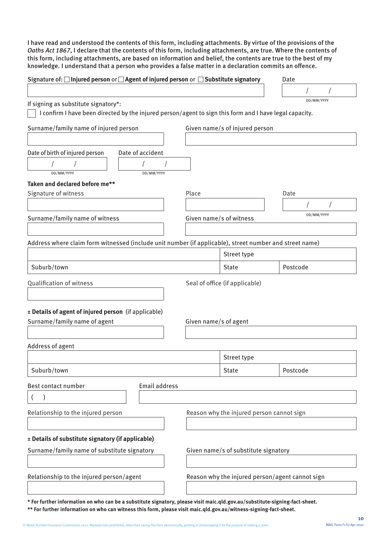I have read and understood the contents of this form, including attachments. By virtue of the provisions of the *Oaths Act 1867*, I declare that the contents of this form, including attachments, are true. Where the contents of this form, including attachments, are based on information and belief, the contents are true to the best of my knowledge. I understand that a person who provides a false matter in a declaration commits an offence.

| Signature of: □ Injured person or □ Agent of injured person or □ Substitute signatory                   |                      |                         |                                                 | Date       |
|---------------------------------------------------------------------------------------------------------|----------------------|-------------------------|-------------------------------------------------|------------|
|                                                                                                         |                      |                         |                                                 |            |
| If signing as substitute signatory*:                                                                    |                      |                         |                                                 | DD/MM/YYYY |
| I confirm I have been directed by the injured person/agent to sign this form and I have legal capacity. |                      |                         |                                                 |            |
| Surname/family name of injured person                                                                   |                      |                         | Given name/s of injured person                  |            |
|                                                                                                         |                      |                         |                                                 |            |
| Date of birth of injured person                                                                         | Date of accident     |                         |                                                 |            |
|                                                                                                         |                      |                         |                                                 |            |
| DD/MM/YYYY                                                                                              | DD/MM/YYYY           |                         |                                                 |            |
| Taken and declared before me**                                                                          |                      |                         |                                                 |            |
| Signature of witness                                                                                    |                      | Place                   |                                                 | Date       |
|                                                                                                         |                      |                         |                                                 | DD/MM/YYYY |
| Surname/family name of witness                                                                          |                      | Given name/s of witness |                                                 |            |
|                                                                                                         |                      |                         |                                                 |            |
| Address where claim form witnessed (include unit number (if applicable), street number and street name) |                      |                         |                                                 |            |
|                                                                                                         |                      |                         | Street type                                     |            |
| Suburb/town                                                                                             |                      |                         | <b>State</b>                                    | Postcode   |
| Qualification of witness                                                                                |                      |                         | Seal of office (if applicable)                  |            |
|                                                                                                         |                      |                         |                                                 |            |
|                                                                                                         |                      |                         |                                                 |            |
| ± Details of agent of injured person (if applicable)<br>Surname/family name of agent                    |                      |                         |                                                 |            |
|                                                                                                         |                      | Given name/s of agent   |                                                 |            |
|                                                                                                         |                      |                         |                                                 |            |
| Address of agent                                                                                        |                      |                         | Street type                                     |            |
|                                                                                                         |                      |                         |                                                 |            |
| Suburb/town                                                                                             |                      |                         | State                                           | Postcode   |
| Best contact number                                                                                     | <b>Email address</b> |                         |                                                 |            |
|                                                                                                         |                      |                         |                                                 |            |
| Relationship to the injured person                                                                      |                      |                         | Reason why the injured person cannot sign       |            |
|                                                                                                         |                      |                         |                                                 |            |
| ± Details of substitute signatory (if applicable)                                                       |                      |                         |                                                 |            |
| Surname/family name of substitute signatory                                                             |                      |                         | Given name/s of substitute signatory            |            |
|                                                                                                         |                      |                         |                                                 |            |
| Relationship to the injured person/agent                                                                |                      |                         | Reason why the injured person/agent cannot sign |            |
|                                                                                                         |                      |                         |                                                 |            |
|                                                                                                         |                      |                         |                                                 |            |

**\* For further information on who can be a substitute signatory, please visit [maic.qld.gov.au/substitute-signing-fact-sheet.](http://maic.qld.gov.au/substitute-signing-fact-sheet) \*\* For further information on who can witness this form, please visit [maic.qld.gov.au/witness-signing-fact-sheet](http://maic.qld.gov.au/witness-signing-fact-sheet).**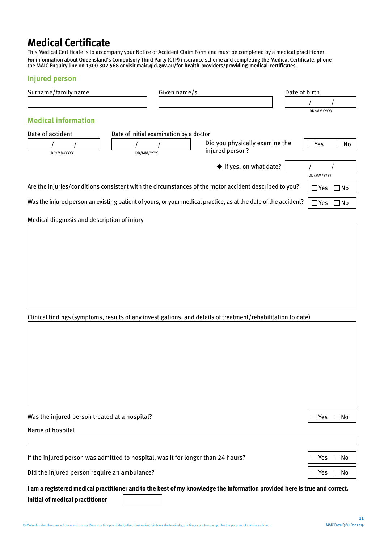# **Medical Certificate**

This Medical Certificate is to accompany your Notice of Accident Claim Form and must be completed by a medical practitioner. For information about Queensland's Compulsory Third Party (CTP) insurance scheme and completing the Medical Certificate, phone the MAIC Enquiry line on 1300 302 568 or visit **[maic.qld.gov.au/for-health-providers/providing-medical-certificates](https://maic.qld.gov.au/for-health-providers/providing-medical-certificates)**.

### **Injured person**

| Surname/family name                                                                                                       | Given name/s                            |                                                   | Date of birth |               |           |
|---------------------------------------------------------------------------------------------------------------------------|-----------------------------------------|---------------------------------------------------|---------------|---------------|-----------|
|                                                                                                                           |                                         |                                                   |               |               |           |
| <b>Medical information</b>                                                                                                |                                         |                                                   |               | DD/MM/YYYY    |           |
|                                                                                                                           |                                         |                                                   |               |               |           |
| Date of accident                                                                                                          | Date of initial examination by a doctor |                                                   |               |               |           |
| DD/MM/YYYY                                                                                                                | DD/MM/YYYY                              | Did you physically examine the<br>injured person? |               | $\exists$ Yes | No        |
|                                                                                                                           |                                         | ◆ If yes, on what date?                           |               |               |           |
|                                                                                                                           |                                         |                                                   |               | DD/MM/YYYY    |           |
| Are the injuries/conditions consistent with the circumstances of the motor accident described to you?                     |                                         | $\exists$ Yes                                     | $\Box$ No     |               |           |
| Was the injured person an existing patient of yours, or your medical practice, as at the date of the accident?            |                                         |                                                   |               | $\Box$ Yes    | $\Box$ No |
| Medical diagnosis and description of injury                                                                               |                                         |                                                   |               |               |           |
|                                                                                                                           |                                         |                                                   |               |               |           |
|                                                                                                                           |                                         |                                                   |               |               |           |
|                                                                                                                           |                                         |                                                   |               |               |           |
|                                                                                                                           |                                         |                                                   |               |               |           |
|                                                                                                                           |                                         |                                                   |               |               |           |
|                                                                                                                           |                                         |                                                   |               |               |           |
|                                                                                                                           |                                         |                                                   |               |               |           |
|                                                                                                                           |                                         |                                                   |               |               |           |
| Clinical findings (symptoms, results of any investigations, and details of treatment/rehabilitation to date)              |                                         |                                                   |               |               |           |
|                                                                                                                           |                                         |                                                   |               |               |           |
|                                                                                                                           |                                         |                                                   |               |               |           |
|                                                                                                                           |                                         |                                                   |               |               |           |
|                                                                                                                           |                                         |                                                   |               |               |           |
|                                                                                                                           |                                         |                                                   |               |               |           |
|                                                                                                                           |                                         |                                                   |               |               |           |
|                                                                                                                           |                                         |                                                   |               |               |           |
|                                                                                                                           |                                         |                                                   |               |               |           |
| Was the injured person treated at a hospital?                                                                             |                                         |                                                   |               | $\square$ Yes | ∐ No      |
| Name of hospital                                                                                                          |                                         |                                                   |               |               |           |
|                                                                                                                           |                                         |                                                   |               |               |           |
| If the injured person was admitted to hospital, was it for longer than 24 hours?                                          |                                         |                                                   |               | $\sqcup$ Yes  | ∣No       |
| Did the injured person require an ambulance?                                                                              |                                         |                                                   |               | ∣Yes          | l No      |
| I am a registered medical practitioner and to the best of my knowledge the information provided here is true and correct. |                                         |                                                   |               |               |           |
| Initial of medical practitioner                                                                                           |                                         |                                                   |               |               |           |
|                                                                                                                           |                                         |                                                   |               |               |           |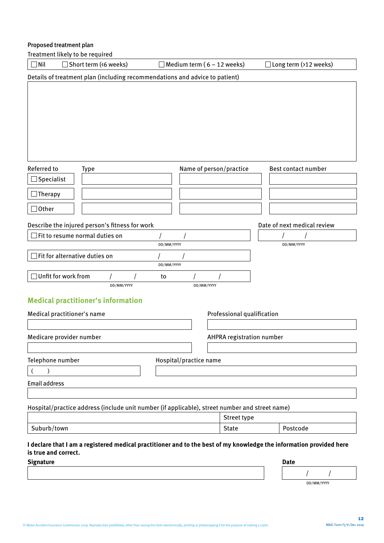# Proposed treatment plan

Treatment likely to be required

| $\Box$ Nil<br>$\Box$ Short term (<6 weeks)                                                                                                                      | $\Box$ Medium term (6 – 12 weeks) |                            | $\Box$ Long term (>12 weeks) |
|-----------------------------------------------------------------------------------------------------------------------------------------------------------------|-----------------------------------|----------------------------|------------------------------|
| Details of treatment plan (including recommendations and advice to patient)                                                                                     |                                   |                            |                              |
|                                                                                                                                                                 |                                   |                            |                              |
| Referred to<br><b>Type</b>                                                                                                                                      | Name of person/practice           |                            | Best contact number          |
| $\Box$ Specialist                                                                                                                                               |                                   |                            |                              |
| $\Box$ Therapy                                                                                                                                                  |                                   |                            |                              |
| $\Box$ Other                                                                                                                                                    |                                   |                            |                              |
|                                                                                                                                                                 |                                   |                            |                              |
| Describe the injured person's fitness for work                                                                                                                  |                                   |                            | Date of next medical review  |
| $\Box$ Fit to resume normal duties on                                                                                                                           | DD/MM/YYYY                        |                            | DD/MM/YYYY                   |
| $\Box$ Fit for alternative duties on                                                                                                                            |                                   |                            |                              |
|                                                                                                                                                                 | DD/MM/YYYY                        |                            |                              |
| $\Box$ Unfit for work from                                                                                                                                      | to                                |                            |                              |
| DD/MM/YYYY                                                                                                                                                      | DD/MM/YYYY                        |                            |                              |
| <b>Medical practitioner's information</b>                                                                                                                       |                                   |                            |                              |
| Medical practitioner's name                                                                                                                                     |                                   | Professional qualification |                              |
|                                                                                                                                                                 |                                   |                            |                              |
| Medicare provider number                                                                                                                                        |                                   | AHPRA registration number  |                              |
|                                                                                                                                                                 |                                   |                            |                              |
| Telephone number                                                                                                                                                | Hospital/practice name            |                            |                              |
| $\mathcal{E}$                                                                                                                                                   |                                   |                            |                              |
| <b>Email address</b>                                                                                                                                            |                                   |                            |                              |
|                                                                                                                                                                 |                                   |                            |                              |
| Hospital/practice address (include unit number (if applicable), street number and street name)                                                                  |                                   |                            |                              |
|                                                                                                                                                                 |                                   | Street type                |                              |
| Suburb/town                                                                                                                                                     |                                   | <b>State</b>               | Postcode                     |
| I declare that I am a registered medical practitioner and to the best of my knowledge the information provided here<br>is true and correct.<br><b>Signature</b> |                                   |                            | <b>Date</b>                  |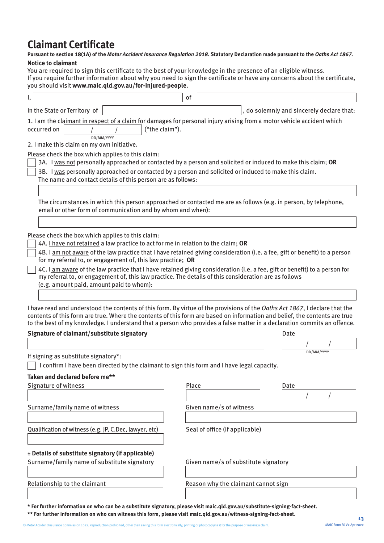# **Claimant Certificate**

#### **Pursuant to section 18(1A) of the** *Motor Accident Insurance Regulation 2018.* **Statutory Declaration made pursuant to the** *Oaths Act 1867.* **Notice to claimant**

You are required to sign this certificate to the best of your knowledge in the presence of an eligible witness. If you require further information about why you need to sign the certificate or have any concerns about the certificate, you should visit **www.maic.qld.gov.au/for-injured-people**.

| I,                                                                                                                                                                                                                                                                                                                                                                                                                                                                                                                                                                                                                     | of                                   |                                           |            |
|------------------------------------------------------------------------------------------------------------------------------------------------------------------------------------------------------------------------------------------------------------------------------------------------------------------------------------------------------------------------------------------------------------------------------------------------------------------------------------------------------------------------------------------------------------------------------------------------------------------------|--------------------------------------|-------------------------------------------|------------|
| in the State or Territory of                                                                                                                                                                                                                                                                                                                                                                                                                                                                                                                                                                                           |                                      | , do solemnly and sincerely declare that: |            |
| 1. I am the claimant in respect of a claim for damages for personal injury arising from a motor vehicle accident which<br>("the claim").<br>occurred on<br>DD/MM/YYYY                                                                                                                                                                                                                                                                                                                                                                                                                                                  |                                      |                                           |            |
| 2. I make this claim on my own initiative.                                                                                                                                                                                                                                                                                                                                                                                                                                                                                                                                                                             |                                      |                                           |            |
| Please check the box which applies to this claim:<br>3A. I was not personally approached or contacted by a person and solicited or induced to make this claim; OR<br>3B. I was personally approached or contacted by a person and solicited or induced to make this claim.<br>The name and contact details of this person are as follows:                                                                                                                                                                                                                                                                              |                                      |                                           |            |
| The circumstances in which this person approached or contacted me are as follows (e.g. in person, by telephone,<br>email or other form of communication and by whom and when):                                                                                                                                                                                                                                                                                                                                                                                                                                         |                                      |                                           |            |
| Please check the box which applies to this claim:<br>4A. I have not retained a law practice to act for me in relation to the claim; OR<br>4B. I am not aware of the law practice that I have retained giving consideration (i.e. a fee, gift or benefit) to a person<br>for my referral to, or engagement of, this law practice; OR<br>4C. I am aware of the law practice that I have retained giving consideration (i.e. a fee, gift or benefit) to a person for<br>my referral to, or engagement of, this law practice. The details of this consideration are as follows<br>(e.g. amount paid, amount paid to whom): |                                      |                                           |            |
| I have read and understood the contents of this form. By virtue of the provisions of the Oaths Act 1867, I declare that the<br>contents of this form are true. Where the contents of this form are based on information and belief, the contents are true<br>to the best of my knowledge. I understand that a person who provides a false matter in a declaration commits an offence.<br>Signature of claimant/substitute signatory                                                                                                                                                                                    |                                      | Date                                      |            |
|                                                                                                                                                                                                                                                                                                                                                                                                                                                                                                                                                                                                                        |                                      |                                           | DD/MM/YYYY |
| If signing as substitute signatory*:<br>I confirm I have been directed by the claimant to sign this form and I have legal capacity.                                                                                                                                                                                                                                                                                                                                                                                                                                                                                    |                                      |                                           |            |
| Taken and declared before me**<br>Signature of witness                                                                                                                                                                                                                                                                                                                                                                                                                                                                                                                                                                 | Place                                | Date                                      |            |
|                                                                                                                                                                                                                                                                                                                                                                                                                                                                                                                                                                                                                        |                                      |                                           |            |
| Surname/family name of witness                                                                                                                                                                                                                                                                                                                                                                                                                                                                                                                                                                                         | Given name/s of witness              |                                           |            |
| Qualification of witness (e.g. JP, C.Dec, lawyer, etc)                                                                                                                                                                                                                                                                                                                                                                                                                                                                                                                                                                 | Seal of office (if applicable)       |                                           |            |
| ± Details of substitute signatory (if applicable)<br>Surname/family name of substitute signatory                                                                                                                                                                                                                                                                                                                                                                                                                                                                                                                       | Given name/s of substitute signatory |                                           |            |
| Relationship to the claimant                                                                                                                                                                                                                                                                                                                                                                                                                                                                                                                                                                                           | Reason why the claimant cannot sign  |                                           |            |

**\* For further information on who can be a substitute signatory, please visit [maic.qld.gov.au/substitute-signing-fact-sheet.](http://maic.qld.gov.au/substitute-signing-fact-sheet)**

**\*\* For further information on who can witness this form, please visit [maic.qld.gov.au/witness-signing-fact-sheet](http://maic.qld.gov.au/witness-signing-fact-sheet).**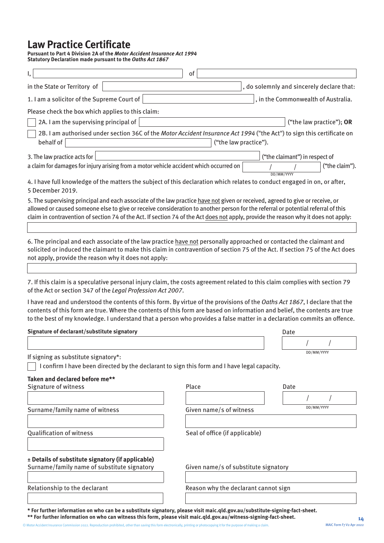# **Law Practice Certificate**

**Pursuant to Part 4 Division 2A of the** *Motor Accident Insurance Act 1994* **Statutory Declaration made pursuant to the** *Oaths Act 1867*

| I,                                                                                                                                                                                                                                                                                                                                                                                                       | of                                   |                                           |
|----------------------------------------------------------------------------------------------------------------------------------------------------------------------------------------------------------------------------------------------------------------------------------------------------------------------------------------------------------------------------------------------------------|--------------------------------------|-------------------------------------------|
| in the State or Territory of                                                                                                                                                                                                                                                                                                                                                                             |                                      | , do solemnly and sincerely declare that: |
| 1. I am a solicitor of the Supreme Court of                                                                                                                                                                                                                                                                                                                                                              |                                      | , in the Commonwealth of Australia.       |
| Please check the box which applies to this claim:                                                                                                                                                                                                                                                                                                                                                        |                                      |                                           |
| 2A. I am the supervising principal of                                                                                                                                                                                                                                                                                                                                                                    |                                      | ("the law practice"); OR                  |
| 2B. I am authorised under section 36C of the Motor Accident Insurance Act 1994 ("the Act") to sign this certificate on<br>behalf of                                                                                                                                                                                                                                                                      |                                      | ("the law practice").                     |
| 3. The law practice acts for                                                                                                                                                                                                                                                                                                                                                                             |                                      | ("the claimant") in respect of            |
| a claim for damages for injury arising from a motor vehicle accident which occurred on                                                                                                                                                                                                                                                                                                                   |                                      | ("the claim").<br>DD/MM/YYYY              |
| 4. I have full knowledge of the matters the subject of this declaration which relates to conduct engaged in on, or after,<br>5 December 2019.                                                                                                                                                                                                                                                            |                                      |                                           |
| 5. The supervising principal and each associate of the law practice have not given or received, agreed to give or receive, or<br>allowed or caused someone else to give or receive consideration to another person for the referral or potential referral of this<br>claim in contravention of section 74 of the Act. If section 74 of the Act does not apply, provide the reason why it does not apply: |                                      |                                           |
| 6. The principal and each associate of the law practice have not personally approached or contacted the claimant and<br>solicited or induced the claimant to make this claim in contravention of section 75 of the Act. If section 75 of the Act does<br>not apply, provide the reason why it does not apply:                                                                                            |                                      |                                           |
|                                                                                                                                                                                                                                                                                                                                                                                                          |                                      |                                           |
| 7. If this claim is a speculative personal injury claim, the costs agreement related to this claim complies with section 79<br>of the Act or section 347 of the Legal Profession Act 2007.                                                                                                                                                                                                               |                                      |                                           |
| I have read and understood the contents of this form. By virtue of the provisions of the Oaths Act 1867, I declare that the<br>contents of this form are true. Where the contents of this form are based on information and belief, the contents are true<br>to the best of my knowledge. I understand that a person who provides a false matter in a declaration commits an offence.                    |                                      |                                           |
| Signature of declarant/substitute signatory                                                                                                                                                                                                                                                                                                                                                              |                                      | Date                                      |
|                                                                                                                                                                                                                                                                                                                                                                                                          |                                      |                                           |
| If signing as substitute signatory*:                                                                                                                                                                                                                                                                                                                                                                     |                                      | DD/MM/YYYY                                |
| I confirm I have been directed by the declarant to sign this form and I have legal capacity.                                                                                                                                                                                                                                                                                                             |                                      |                                           |
| Taken and declared before me**                                                                                                                                                                                                                                                                                                                                                                           |                                      |                                           |
| Signature of witness                                                                                                                                                                                                                                                                                                                                                                                     | Place                                | Date                                      |
|                                                                                                                                                                                                                                                                                                                                                                                                          |                                      |                                           |
| Surname/family name of witness                                                                                                                                                                                                                                                                                                                                                                           | Given name/s of witness              | DD/MM/YYYY                                |
| <b>Qualification of witness</b>                                                                                                                                                                                                                                                                                                                                                                          | Seal of office (if applicable)       |                                           |
| ± Details of substitute signatory (if applicable)<br>Surname/family name of substitute signatory                                                                                                                                                                                                                                                                                                         | Given name/s of substitute signatory |                                           |
| Relationship to the declarant                                                                                                                                                                                                                                                                                                                                                                            | Reason why the declarant cannot sign |                                           |
|                                                                                                                                                                                                                                                                                                                                                                                                          |                                      |                                           |

**\* For further information on who can be a substitute signatory, please visit [maic.qld.gov.au/substitute-signing-fact-sheet.](http://maic.qld.gov.au/substitute-signing-fact-sheet) \*\* For further information on who can witness this form, please visit [maic.qld.gov.au/witness-signing-fact-sheet](http://maic.qld.gov.au/witness-signing-fact-sheet).**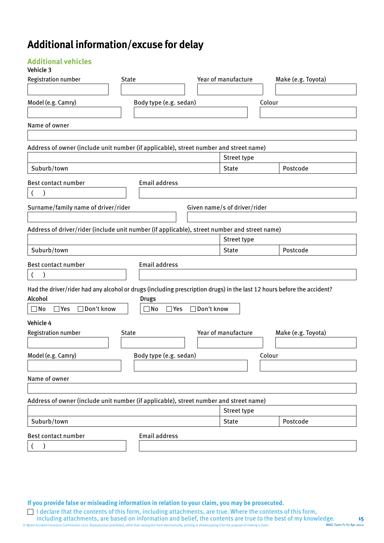# **Additional information/excuse for delay**

# **Additional vehicles**

### Vehicle 3

| Model (e.g. Camry)<br>Body type (e.g. sedan)<br>Colour<br>Name of owner<br>Address of owner (include unit number (if applicable), street number and street name)<br>Street type<br>Suburb/town<br><b>State</b><br>Postcode<br><b>Email address</b><br>$\left($<br>Surname/family name of driver/rider<br>Given name/s of driver/rider<br>Address of driver/rider (include unit number (if applicable), street number and street name)<br>Street type<br>Suburb/town<br><b>State</b><br>Postcode<br><b>Email address</b><br>$\mathcal{E}$<br>$\left($<br>Had the driver/rider had any alcohol or drugs (including prescription drugs) in the last 12 hours before the accident?<br><b>Drugs</b><br>□ Don't know<br>□ Don't know<br>$\Box$ No<br>$\Box$ Yes<br>$\square$ No<br>$\Box$ Yes<br>Year of manufacture<br><b>Registration number</b><br>Make (e.g. Toyota)<br><b>State</b><br>Model (e.g. Camry)<br>Body type (e.g. sedan)<br>Colour<br>Name of owner<br>Address of owner (include unit number (if applicable), street number and street name)<br>Street type<br>Suburb/town<br>Postcode<br><b>State</b> | <b>Registration number</b> | <b>State</b> |                      | Year of manufacture | Make (e.g. Toyota) |
|------------------------------------------------------------------------------------------------------------------------------------------------------------------------------------------------------------------------------------------------------------------------------------------------------------------------------------------------------------------------------------------------------------------------------------------------------------------------------------------------------------------------------------------------------------------------------------------------------------------------------------------------------------------------------------------------------------------------------------------------------------------------------------------------------------------------------------------------------------------------------------------------------------------------------------------------------------------------------------------------------------------------------------------------------------------------------------------------------------------|----------------------------|--------------|----------------------|---------------------|--------------------|
|                                                                                                                                                                                                                                                                                                                                                                                                                                                                                                                                                                                                                                                                                                                                                                                                                                                                                                                                                                                                                                                                                                                  |                            |              |                      |                     |                    |
|                                                                                                                                                                                                                                                                                                                                                                                                                                                                                                                                                                                                                                                                                                                                                                                                                                                                                                                                                                                                                                                                                                                  |                            |              |                      |                     |                    |
|                                                                                                                                                                                                                                                                                                                                                                                                                                                                                                                                                                                                                                                                                                                                                                                                                                                                                                                                                                                                                                                                                                                  |                            |              |                      |                     |                    |
|                                                                                                                                                                                                                                                                                                                                                                                                                                                                                                                                                                                                                                                                                                                                                                                                                                                                                                                                                                                                                                                                                                                  |                            |              |                      |                     |                    |
|                                                                                                                                                                                                                                                                                                                                                                                                                                                                                                                                                                                                                                                                                                                                                                                                                                                                                                                                                                                                                                                                                                                  |                            |              |                      |                     |                    |
|                                                                                                                                                                                                                                                                                                                                                                                                                                                                                                                                                                                                                                                                                                                                                                                                                                                                                                                                                                                                                                                                                                                  |                            |              |                      |                     |                    |
|                                                                                                                                                                                                                                                                                                                                                                                                                                                                                                                                                                                                                                                                                                                                                                                                                                                                                                                                                                                                                                                                                                                  |                            |              |                      |                     |                    |
|                                                                                                                                                                                                                                                                                                                                                                                                                                                                                                                                                                                                                                                                                                                                                                                                                                                                                                                                                                                                                                                                                                                  | Best contact number        |              |                      |                     |                    |
|                                                                                                                                                                                                                                                                                                                                                                                                                                                                                                                                                                                                                                                                                                                                                                                                                                                                                                                                                                                                                                                                                                                  |                            |              |                      |                     |                    |
|                                                                                                                                                                                                                                                                                                                                                                                                                                                                                                                                                                                                                                                                                                                                                                                                                                                                                                                                                                                                                                                                                                                  |                            |              |                      |                     |                    |
|                                                                                                                                                                                                                                                                                                                                                                                                                                                                                                                                                                                                                                                                                                                                                                                                                                                                                                                                                                                                                                                                                                                  |                            |              |                      |                     |                    |
|                                                                                                                                                                                                                                                                                                                                                                                                                                                                                                                                                                                                                                                                                                                                                                                                                                                                                                                                                                                                                                                                                                                  |                            |              |                      |                     |                    |
|                                                                                                                                                                                                                                                                                                                                                                                                                                                                                                                                                                                                                                                                                                                                                                                                                                                                                                                                                                                                                                                                                                                  |                            |              |                      |                     |                    |
|                                                                                                                                                                                                                                                                                                                                                                                                                                                                                                                                                                                                                                                                                                                                                                                                                                                                                                                                                                                                                                                                                                                  |                            |              |                      |                     |                    |
|                                                                                                                                                                                                                                                                                                                                                                                                                                                                                                                                                                                                                                                                                                                                                                                                                                                                                                                                                                                                                                                                                                                  | Best contact number        |              |                      |                     |                    |
|                                                                                                                                                                                                                                                                                                                                                                                                                                                                                                                                                                                                                                                                                                                                                                                                                                                                                                                                                                                                                                                                                                                  |                            |              |                      |                     |                    |
|                                                                                                                                                                                                                                                                                                                                                                                                                                                                                                                                                                                                                                                                                                                                                                                                                                                                                                                                                                                                                                                                                                                  |                            |              |                      |                     |                    |
|                                                                                                                                                                                                                                                                                                                                                                                                                                                                                                                                                                                                                                                                                                                                                                                                                                                                                                                                                                                                                                                                                                                  | Alcohol                    |              |                      |                     |                    |
|                                                                                                                                                                                                                                                                                                                                                                                                                                                                                                                                                                                                                                                                                                                                                                                                                                                                                                                                                                                                                                                                                                                  |                            |              |                      |                     |                    |
|                                                                                                                                                                                                                                                                                                                                                                                                                                                                                                                                                                                                                                                                                                                                                                                                                                                                                                                                                                                                                                                                                                                  | Vehicle 4                  |              |                      |                     |                    |
|                                                                                                                                                                                                                                                                                                                                                                                                                                                                                                                                                                                                                                                                                                                                                                                                                                                                                                                                                                                                                                                                                                                  |                            |              |                      |                     |                    |
|                                                                                                                                                                                                                                                                                                                                                                                                                                                                                                                                                                                                                                                                                                                                                                                                                                                                                                                                                                                                                                                                                                                  |                            |              |                      |                     |                    |
|                                                                                                                                                                                                                                                                                                                                                                                                                                                                                                                                                                                                                                                                                                                                                                                                                                                                                                                                                                                                                                                                                                                  |                            |              |                      |                     |                    |
|                                                                                                                                                                                                                                                                                                                                                                                                                                                                                                                                                                                                                                                                                                                                                                                                                                                                                                                                                                                                                                                                                                                  |                            |              |                      |                     |                    |
|                                                                                                                                                                                                                                                                                                                                                                                                                                                                                                                                                                                                                                                                                                                                                                                                                                                                                                                                                                                                                                                                                                                  |                            |              |                      |                     |                    |
|                                                                                                                                                                                                                                                                                                                                                                                                                                                                                                                                                                                                                                                                                                                                                                                                                                                                                                                                                                                                                                                                                                                  |                            |              |                      |                     |                    |
|                                                                                                                                                                                                                                                                                                                                                                                                                                                                                                                                                                                                                                                                                                                                                                                                                                                                                                                                                                                                                                                                                                                  |                            |              |                      |                     |                    |
|                                                                                                                                                                                                                                                                                                                                                                                                                                                                                                                                                                                                                                                                                                                                                                                                                                                                                                                                                                                                                                                                                                                  |                            |              |                      |                     |                    |
|                                                                                                                                                                                                                                                                                                                                                                                                                                                                                                                                                                                                                                                                                                                                                                                                                                                                                                                                                                                                                                                                                                                  | Best contact number        |              | <b>Email address</b> |                     |                    |
|                                                                                                                                                                                                                                                                                                                                                                                                                                                                                                                                                                                                                                                                                                                                                                                                                                                                                                                                                                                                                                                                                                                  |                            |              |                      |                     |                    |

**If you provide false or misleading information in relation to your claim, you may be prosecuted.** 

© Motor Accident Insurance Commission 2022. Reproduction prohibited, other than saving this form electronically, printing or photocopying it for the purpose of making a claim. I declare that the contents of this form, including attachments, are true. Where the contents of this form, including attachments, are based on information and belief, the contents are true to the best of my knowledge. **15** MAIC Form F1 V7 Apr 2022